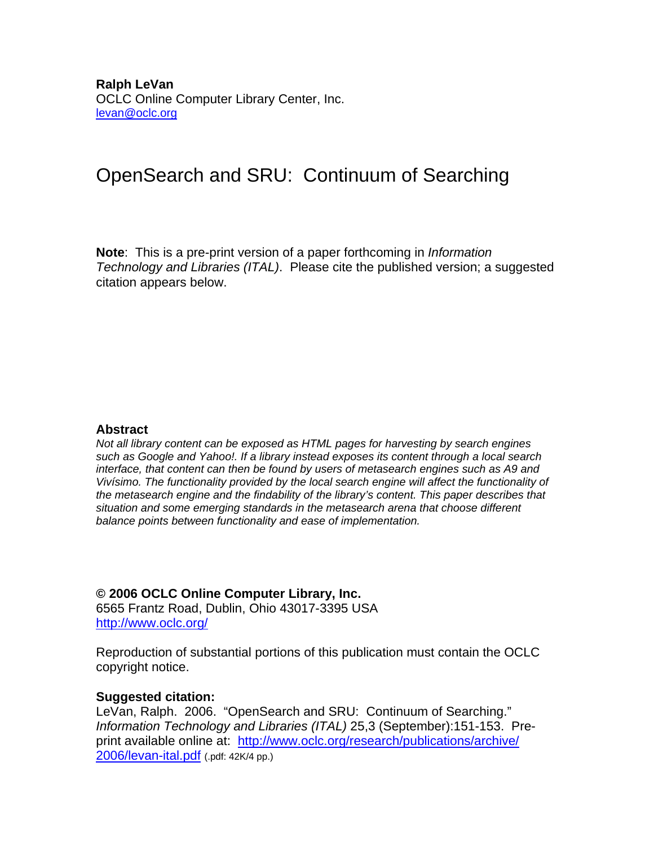**Ralph LeVan**  OCLC Online Computer Library Center, Inc. [levan@oclc.org](mailto:levan@oclc.org)

# OpenSearch and SRU: Continuum of Searching

**Note**: This is a pre-print version of a paper forthcoming in *Information Technology and Libraries (ITAL)*. Please cite the published version; a suggested citation appears below.

#### **Abstract**

*Not all library content can be exposed as HTML pages for harvesting by search engines such as Google and Yahoo!. If a library instead exposes its content through a local search interface, that content can then be found by users of metasearch engines such as A9 and Vivísimo. The functionality provided by the local search engine will affect the functionality of the metasearch engine and the findability of the library's content. This paper describes that situation and some emerging standards in the metasearch arena that choose different balance points between functionality and ease of implementation.*

**© 2006 OCLC Online Computer Library, Inc.**

6565 Frantz Road, Dublin, Ohio 43017-3395 USA <http://www.oclc.org/>

Reproduction of substantial portions of this publication must contain the OCLC copyright notice.

#### **Suggested citation:**

LeVan, Ralph. 2006. "OpenSearch and SRU: Continuum of Searching." *Information Technology and Libraries (ITAL)* 25,3 (September):151-153. Preprint available online at: [http://www.oclc.org/research/publications/archive/](http://www.oclc.org/research/publications/archive/%202006/levan-ital.pdf)  [2006/levan-ital.pdf](http://www.oclc.org/research/publications/archive/%202006/levan-ital.pdf) (.pdf: 42K/4 pp.)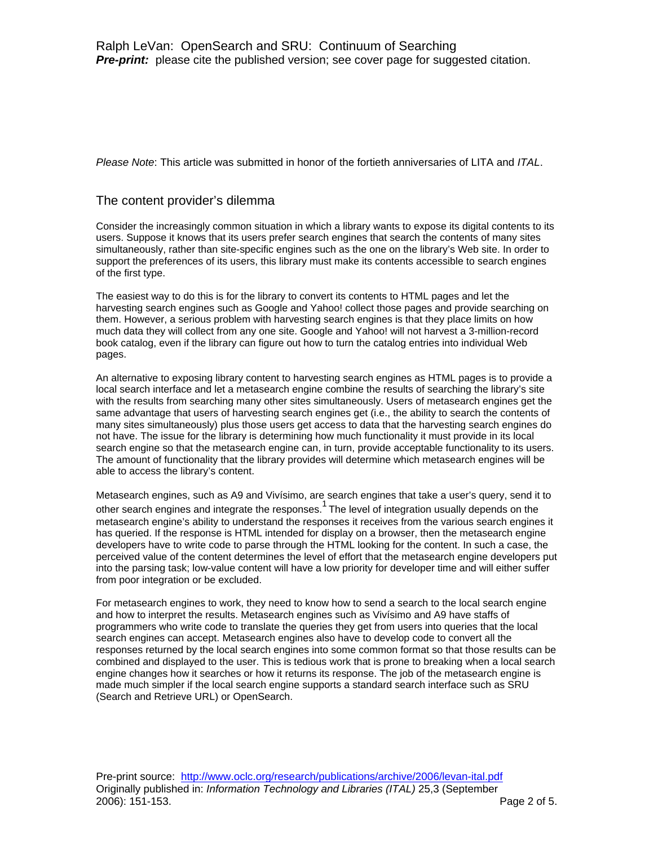*Please Note*: This article was submitted in honor of the fortieth anniversaries of LITA and *ITAL*.

## The content provider's dilemma

Consider the increasingly common situation in which a library wants to expose its digital contents to its users. Suppose it knows that its users prefer search engines that search the contents of many sites simultaneously, rather than site-specific engines such as the one on the library's Web site. In order to support the preferences of its users, this library must make its contents accessible to search engines of the first type.

The easiest way to do this is for the library to convert its contents to HTML pages and let the harvesting search engines such as Google and Yahoo! collect those pages and provide searching on them. However, a serious problem with harvesting search engines is that they place limits on how much data they will collect from any one site. Google and Yahoo! will not harvest a 3-million-record book catalog, even if the library can figure out how to turn the catalog entries into individual Web pages.

An alternative to exposing library content to harvesting search engines as HTML pages is to provide a local search interface and let a metasearch engine combine the results of searching the library's site with the results from searching many other sites simultaneously. Users of metasearch engines get the same advantage that users of harvesting search engines get (i.e., the ability to search the contents of many sites simultaneously) plus those users get access to data that the harvesting search engines do not have. The issue for the library is determining how much functionality it must provide in its local search engine so that the metasearch engine can, in turn, provide acceptable functionality to its users. The amount of functionality that the library provides will determine which metasearch engines will be able to access the library's content.

Metasearch engines, such as A9 and Vivísimo, are search engines that take a user's query, send it to other search engines and integrate the responses.<sup>1</sup> The level of integration usually depends on the metasearch engine's ability to understand the responses it receives from the various search engines it has queried. If the response is HTML intended for display on a browser, then the metasearch engine developers have to write code to parse through the HTML looking for the content. In such a case, the perceived value of the content determines the level of effort that the metasearch engine developers put into the parsing task; low-value content will have a low priority for developer time and will either suffer from poor integration or be excluded.

For metasearch engines to work, they need to know how to send a search to the local search engine and how to interpret the results. Metasearch engines such as Vivísimo and A9 have staffs of programmers who write code to translate the queries they get from users into queries that the local search engines can accept. Metasearch engines also have to develop code to convert all the responses returned by the local search engines into some common format so that those results can be combined and displayed to the user. This is tedious work that is prone to breaking when a local search engine changes how it searches or how it returns its response. The job of the metasearch engine is made much simpler if the local search engine supports a standard search interface such as SRU (Search and Retrieve URL) or OpenSearch.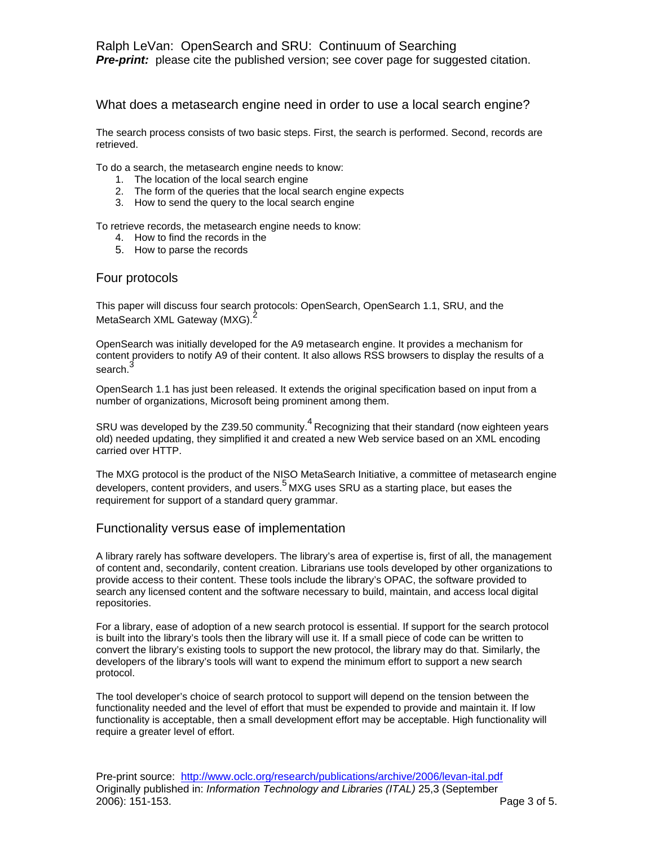## What does a metasearch engine need in order to use a local search engine?

The search process consists of two basic steps. First, the search is performed. Second, records are retrieved.

To do a search, the metasearch engine needs to know:

- 1. The location of the local search engine
- 2. The form of the queries that the local search engine expects
- 3. How to send the query to the local search engine

To retrieve records, the metasearch engine needs to know:

- 4. How to find the records in the
- 5. How to parse the records

#### Four protocols

This paper will discuss four search protocols: OpenSearch, OpenSearch 1.1, SRU, and the MetaSearch XML Gateway (MXG).

OpenSearch was initially developed for the A9 metasearch engine. It provides a mechanism for content providers to notify A9 of their content. It also allows RSS browsers to display the results of a search.<sup>3</sup>

OpenSearch 1.1 has just been released. It extends the original specification based on input from a number of organizations, Microsoft being prominent among them.

SRU was developed by the Z39.50 community.<sup>4</sup> Recognizing that their standard (now eighteen years old) needed updating, they simplified it and created a new Web service based on an XML encoding carried over HTTP.

The MXG protocol is the product of the NISO MetaSearch Initiative, a committee of metasearch engine developers, content providers, and users.<sup>5</sup> MXG uses SRU as a starting place, but eases the requirement for support of a standard query grammar.

#### Functionality versus ease of implementation

A library rarely has software developers. The library's area of expertise is, first of all, the management of content and, secondarily, content creation. Librarians use tools developed by other organizations to provide access to their content. These tools include the library's OPAC, the software provided to search any licensed content and the software necessary to build, maintain, and access local digital repositories.

For a library, ease of adoption of a new search protocol is essential. If support for the search protocol is built into the library's tools then the library will use it. If a small piece of code can be written to convert the library's existing tools to support the new protocol, the library may do that. Similarly, the developers of the library's tools will want to expend the minimum effort to support a new search protocol.

The tool developer's choice of search protocol to support will depend on the tension between the functionality needed and the level of effort that must be expended to provide and maintain it. If low functionality is acceptable, then a small development effort may be acceptable. High functionality will require a greater level of effort.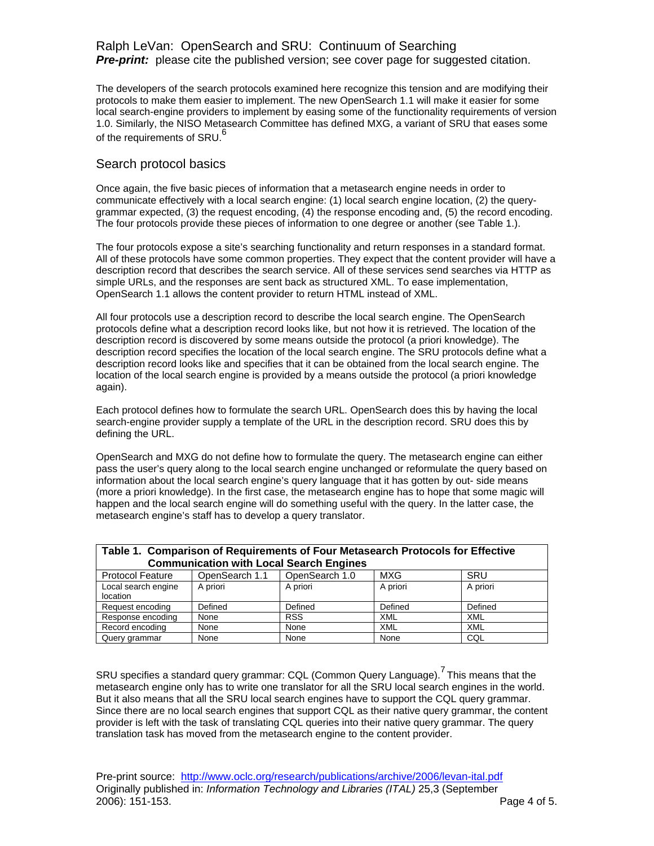# Ralph LeVan: OpenSearch and SRU: Continuum of Searching *Pre-print:* please cite the published version; see cover page for suggested citation.

The developers of the search protocols examined here recognize this tension and are modifying their protocols to make them easier to implement. The new OpenSearch 1.1 will make it easier for some local search-engine providers to implement by easing some of the functionality requirements of version 1.0. Similarly, the NISO Metasearch Committee has defined MXG, a variant of SRU that eases some of the requirements of SRU.<sup>6</sup>

## Search protocol basics

Once again, the five basic pieces of information that a metasearch engine needs in order to communicate effectively with a local search engine: (1) local search engine location, (2) the querygrammar expected, (3) the request encoding, (4) the response encoding and, (5) the record encoding. The four protocols provide these pieces of information to one degree or another (see Table 1.).

The four protocols expose a site's searching functionality and return responses in a standard format. All of these protocols have some common properties. They expect that the content provider will have a description record that describes the search service. All of these services send searches via HTTP as simple URLs, and the responses are sent back as structured XML. To ease implementation, OpenSearch 1.1 allows the content provider to return HTML instead of XML.

All four protocols use a description record to describe the local search engine. The OpenSearch protocols define what a description record looks like, but not how it is retrieved. The location of the description record is discovered by some means outside the protocol (a priori knowledge). The description record specifies the location of the local search engine. The SRU protocols define what a description record looks like and specifies that it can be obtained from the local search engine. The location of the local search engine is provided by a means outside the protocol (a priori knowledge again).

Each protocol defines how to formulate the search URL. OpenSearch does this by having the local search-engine provider supply a template of the URL in the description record. SRU does this by defining the URL.

OpenSearch and MXG do not define how to formulate the query. The metasearch engine can either pass the user's query along to the local search engine unchanged or reformulate the query based on information about the local search engine's query language that it has gotten by out- side means (more a priori knowledge). In the first case, the metasearch engine has to hope that some magic will happen and the local search engine will do something useful with the query. In the latter case, the metasearch engine's staff has to develop a query translator.

| Table 1. Comparison of Requirements of Four Metasearch Protocols for Effective |                |                |            |            |
|--------------------------------------------------------------------------------|----------------|----------------|------------|------------|
| <b>Communication with Local Search Engines</b>                                 |                |                |            |            |
| <b>Protocol Feature</b>                                                        | OpenSearch 1.1 | OpenSearch 1.0 | MXG        | SRU        |
| Local search engine<br>location                                                | A priori       | A priori       | A priori   | A priori   |
| Request encoding                                                               | Defined        | Defined        | Defined    | Defined    |
| Response encoding                                                              | None           | <b>RSS</b>     | <b>XML</b> | <b>XML</b> |
| Record encoding                                                                | None           | None           | <b>XML</b> | XML        |
| Query grammar                                                                  | None           | None           | None       | CQL        |

SRU specifies a standard query grammar: CQL (Common Query Language).<sup>7</sup> This means that the metasearch engine only has to write one translator for all the SRU local search engines in the world. But it also means that all the SRU local search engines have to support the CQL query grammar. Since there are no local search engines that support CQL as their native query grammar, the content provider is left with the task of translating CQL queries into their native query grammar. The query translation task has moved from the metasearch engine to the content provider.